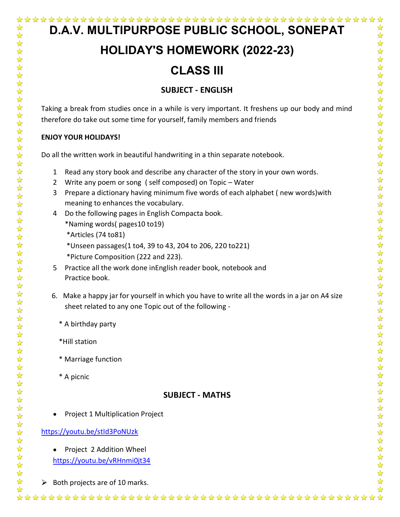# **D.A.V. MULTIPURPOSE PUBLIC SCHOOL, SONEPAT**

☆ ☆

 $\frac{1}{\sqrt{2}}$ 

 $\frac{\lambda}{\lambda}$ 

# **HOLIDAY'S HOMEWORK (2022-23)**

# **CLASS III**

# **SUBJECT - ENGLISH**

Taking a break from studies once in a while is very important. It freshens up our body and mind therefore do take out some time for yourself, family members and friends

#### **ENJOY YOUR HOLIDAYS!**

Do all the written work in beautiful handwriting in a thin separate notebook.

- 1 Read any story book and describe any character of the story in your own words.
- 2 Write any poem or song ( self composed) on Topic Water
- 3 Prepare a dictionary having minimum five words of each alphabet ( new words)with meaning to enhances the vocabulary.
- 4 Do the following pages in English Compacta book.

\*Naming words( pages10 to19)

\*Articles (74 to81)

\*Unseen passages(1 to4, 39 to 43, 204 to 206, 220 to221)

\*Picture Composition (222 and 223).

- 5 Practice all the work done inEnglish reader book, notebook and Practice book.
- 6. Make a happy jar for yourself in which you have to write all the words in a jar on A4 size sheet related to any one Topic out of the following -
	- \* A birthday party
	- \*Hill station
	- \* Marriage function
	- \* A picnic

### **SUBJECT - MATHS**

Project 1 Multiplication Project

#### <https://youtu.be/stId3PoNUzk>

• Project 2 Addition Wheel

<https://youtu.be/vRHnmi0jt34>

 $\triangleright$  Both projects are of 10 marks.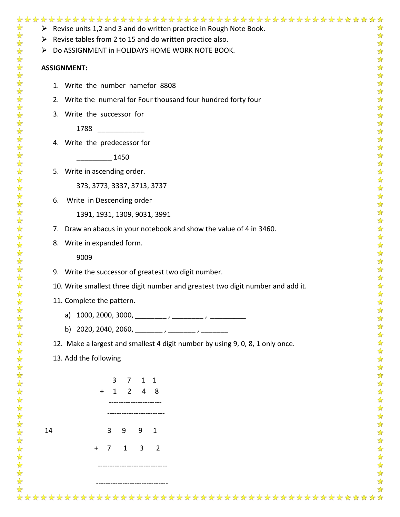|    | $\triangleright$ Revise units 1,2 and 3 and do written practice in Rough Note Book. |
|----|-------------------------------------------------------------------------------------|
| ➤  | Revise tables from 2 to 15 and do written practice also.                            |
| ➤  | Do ASSIGNMENT in HOLIDAYS HOME WORK NOTE BOOK.                                      |
|    | <b>ASSIGNMENT:</b>                                                                  |
|    | 1. Write the number namefor 8808                                                    |
|    | 2. Write the numeral for Four thousand four hundred forty four                      |
|    | 3. Write the successor for                                                          |
|    | 1788                                                                                |
|    | 4. Write the predecessor for                                                        |
|    | 1450                                                                                |
|    | 5. Write in ascending order.                                                        |
|    | 373, 3773, 3337, 3713, 3737                                                         |
| 6. | Write in Descending order                                                           |
|    | 1391, 1931, 1309, 9031, 3991                                                        |
|    | 7. Draw an abacus in your notebook and show the value of 4 in 3460.                 |
|    | 8. Write in expanded form.                                                          |
|    | 9009                                                                                |
|    | 9. Write the successor of greatest two digit number.                                |
|    | 10. Write smallest three digit number and greatest two digit number and add it.     |
|    | 11. Complete the pattern.                                                           |
|    | a)                                                                                  |
|    | b) 2020, 2040, 2060, _________, ________, _________                                 |
|    | 12. Make a largest and smallest 4 digit number by using 9, 0, 8, 1 only once.       |
|    | 13. Add the following                                                               |
|    |                                                                                     |
|    | 3<br>$\mathbf{1}$<br>1<br>7<br>$\mathbf{2}$<br>$1 \quad$<br>4<br>8                  |
|    |                                                                                     |
|    |                                                                                     |
| 14 | 9<br>3<br>9<br>1                                                                    |
|    | 3<br>$\overline{2}$<br>7<br>$\mathbf{1}$<br>$+$                                     |
|    |                                                                                     |
|    |                                                                                     |
|    |                                                                                     |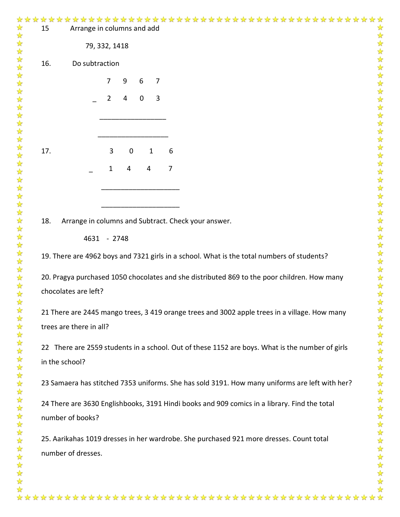| ☆<br>$\frac{1}{\sqrt{2}}$                    | 15                                                                                           | Arrange in columns and add |   |             |             |              |                                                                                                 |                                      |  |  |
|----------------------------------------------|----------------------------------------------------------------------------------------------|----------------------------|---|-------------|-------------|--------------|-------------------------------------------------------------------------------------------------|--------------------------------------|--|--|
| 学科                                           |                                                                                              | 79, 332, 1418              |   |             |             |              |                                                                                                 | ☆☆☆☆☆☆☆☆☆☆☆☆☆☆☆☆☆☆☆☆☆☆☆☆☆☆☆☆☆☆☆☆☆☆☆☆ |  |  |
|                                              | 16.                                                                                          | Do subtraction             |   |             |             |              |                                                                                                 |                                      |  |  |
| *******                                      |                                                                                              |                            | 7 | 9           | 6           | 7            |                                                                                                 |                                      |  |  |
|                                              |                                                                                              |                            | 2 | 4           | $\mathbf 0$ | 3            |                                                                                                 |                                      |  |  |
| $\frac{1}{\sqrt{2}}$                         |                                                                                              |                            |   |             |             |              |                                                                                                 |                                      |  |  |
|                                              |                                                                                              |                            |   |             |             |              |                                                                                                 |                                      |  |  |
|                                              |                                                                                              |                            |   |             |             |              |                                                                                                 |                                      |  |  |
|                                              | 17.                                                                                          |                            | 3 | $\mathbf 0$ |             | $\mathbf{1}$ | 6                                                                                               |                                      |  |  |
|                                              |                                                                                              |                            | 1 | 4           | 4           |              | 7                                                                                               |                                      |  |  |
| 化化化化化化化化化化化化                                 |                                                                                              |                            |   |             |             |              |                                                                                                 |                                      |  |  |
|                                              |                                                                                              |                            |   |             |             |              |                                                                                                 |                                      |  |  |
| $\frac{1}{\sqrt{2}}$                         | 18.                                                                                          |                            |   |             |             |              | Arrange in columns and Subtract. Check your answer.                                             |                                      |  |  |
| $\frac{1}{\sqrt{2}}$<br>$\frac{1}{\sqrt{2}}$ |                                                                                              | 4631 - 2748                |   |             |             |              |                                                                                                 |                                      |  |  |
| $\frac{1}{2}$<br>琴琴                          |                                                                                              |                            |   |             |             |              | 19. There are 4962 boys and 7321 girls in a school. What is the total numbers of students?      |                                      |  |  |
| $\frac{1}{\sqrt{3}}$                         |                                                                                              |                            |   |             |             |              |                                                                                                 |                                      |  |  |
| $\frac{1}{2}$<br>☆                           |                                                                                              |                            |   |             |             |              | 20. Pragya purchased 1050 chocolates and she distributed 869 to the poor children. How many     |                                      |  |  |
| $\frac{1}{\sqrt{2}}$<br>$\frac{1}{2}$        |                                                                                              | chocolates are left?       |   |             |             |              |                                                                                                 |                                      |  |  |
|                                              |                                                                                              |                            |   |             |             |              | 21 There are 2445 mango trees, 3 419 orange trees and 3002 apple trees in a village. How many   | $\frac{1}{2}$<br>☆                   |  |  |
|                                              |                                                                                              | trees are there in all?    |   |             |             |              |                                                                                                 |                                      |  |  |
|                                              |                                                                                              |                            |   |             |             |              | 22 There are 2559 students in a school. Out of these 1152 are boys. What is the number of girls |                                      |  |  |
|                                              |                                                                                              | in the school?             |   |             |             |              |                                                                                                 |                                      |  |  |
|                                              |                                                                                              |                            |   |             |             |              |                                                                                                 | 女女女女女女女女女女女女女女女                      |  |  |
|                                              |                                                                                              |                            |   |             |             |              | 23 Samaera has stitched 7353 uniforms. She has sold 3191. How many uniforms are left with her?  |                                      |  |  |
|                                              | 24 There are 3630 Englishbooks, 3191 Hindi books and 909 comics in a library. Find the total |                            |   |             |             |              |                                                                                                 |                                      |  |  |
|                                              |                                                                                              | number of books?           |   |             |             |              |                                                                                                 |                                      |  |  |
|                                              |                                                                                              |                            |   |             |             |              | 25. Aarikahas 1019 dresses in her wardrobe. She purchased 921 more dresses. Count total         |                                      |  |  |
| 女女女女女女女女女女女女女女女女女女女女女女女                      |                                                                                              | number of dresses.         |   |             |             |              |                                                                                                 | 好好好好好                                |  |  |
|                                              |                                                                                              |                            |   |             |             |              |                                                                                                 |                                      |  |  |
|                                              |                                                                                              |                            |   |             |             |              |                                                                                                 |                                      |  |  |
|                                              |                                                                                              |                            |   |             |             |              |                                                                                                 |                                      |  |  |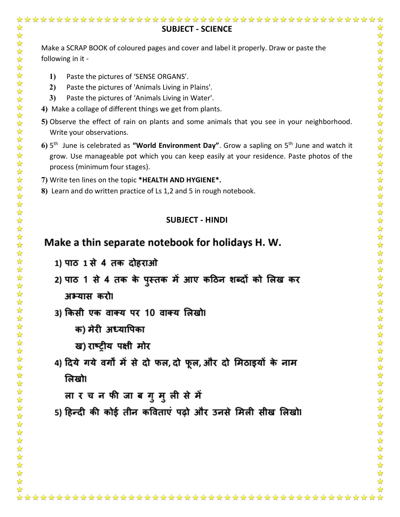# ☆ ☆ **SUBJECT - SCIENCE**  $\frac{1}{2}$ ☆  $\frac{1}{2}$  $\frac{1}{\sqrt{2}}$ Make a SCRAP BOOK of coloured pages and cover and label it properly. Draw or paste the  $\frac{1}{\sqrt{3}}$ 冷冷 following in it - 5555 **1)** Paste the pictures of 'SENSE ORGANS'. **2)** Paste the pictures of 'Animals Living in Plains'. **3)** Paste the pictures of 'Animals Living in Water'. 外外外外外 **4)** Make a collage of different things we get from plants. **5)** Observe the effect of rain on plants and some animals that you see in your neighborhood. Write your observations. **6)** 5 th June is celebrated as **"World Environment Day"**. Grow a sapling on 5th June and watch it ☆ 外外外外 grow. Use manageable pot which you can keep easily at your residence. Paste photos of the process (minimum four stages). **7)** Write ten lines on the topic **\*HEALTH AND HYGIENE\*.**  $\frac{1}{2}$ **8)** Learn and do written practice of Ls 1,2 and 5 in rough notebook. 女女女女女女女女女女女女女 **SUBJECT - HINDI**Make a thin separate notebook for holidays H. W. 1) पाठ 1 से 4 तक दोहराओ 2) पाठ 1 से 4 तक के पुस्तक में आए कठिन शब्दों को लिख कर 女女女女女女女女女女女女女女女女 अभ्यास करो। 3) किसी एक वाक्य पर 10 वाक्य लिखो। क) मेरी अध्यापिका ख) राष्टीय पक्षी मोर 4) दिये गये वर्गों में से दो फल, दो फूल, और दो मिठाइयों के नाम लिखो। लार च न फी जाब गुमुली से में 5) हिन्दी की कोई तीन कविताएं पढ़ो और उनसे मिली सीख लिखो। 外外外外外外外外  $\rightarrow$  $\rightarrow$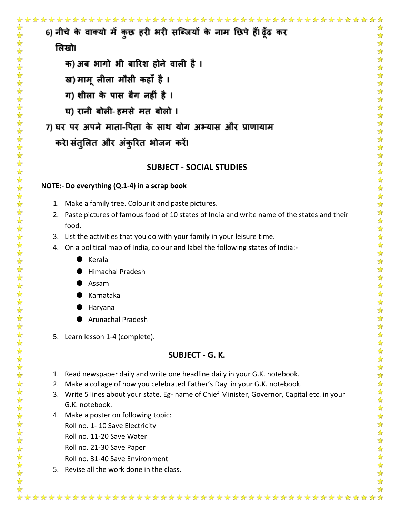☆ ☆ 6) नीचे के वाक्यो में कुछ हरी भरी सब्जियों के नाम छिपे हैं। ढूँढ कर  $\frac{1}{2}$ ☆  $\frac{1}{\sqrt{2}}$ ☆ लिखो।  $\frac{1}{\mathcal{N}}$ 路路 क) अब भागो भी बारिश होने वाली है । 25 25 27 ख) माम् लीला मौसी कहाँ है । ग) शीला के पास बैग नहीं है । 外外外外外外 घ) रानी बोली-हमसे मत बोलो । 7) घर पर अपने माता-पिता के साथ योग अभ्यास और प्राणायाम करे। संतुलित और अंकुरित भोजन करें। \*\*\*\*\*\* **SUBJECT - SOCIAL STUDIES**  $\frac{\lambda}{\lambda}$ **NOTE:- Do everything (Q.1-4) in a scrap book**

- 1. Make a family tree. Colour it and paste pictures.
- 2. Paste pictures of famous food of 10 states of India and write name of the states and their food.
- 3. List the activities that you do with your family in your leisure time.
- 4. On a political map of India, colour and label the following states of India:-
	- **Kerala**
	- Himachal Pradesh
	- **Assam**
	- Karnataka
	- **Haryana**
	- Arunachal Pradesh
- 5. Learn lesson 1-4 (complete).

### **SUBJECT - G. K.**

- 1. Read newspaper daily and write one headline daily in your G.K. notebook.
- 2. Make a collage of how you celebrated Father's Day in your G.K. notebook.
- 3. Write 5 lines about your state. Eg- name of Chief Minister, Governor, Capital etc. in your G.K. notebook.

 $\frac{1}{\sqrt{2}}$ 

- 4. Make a poster on following topic: Roll no. 1- 10 Save Electricity
	- Roll no. 11-20 Save Water
	- Roll no. 21-30 Save Paper
	- Roll no. 31-40 Save Environment
- 5. Revise all the work done in the class.